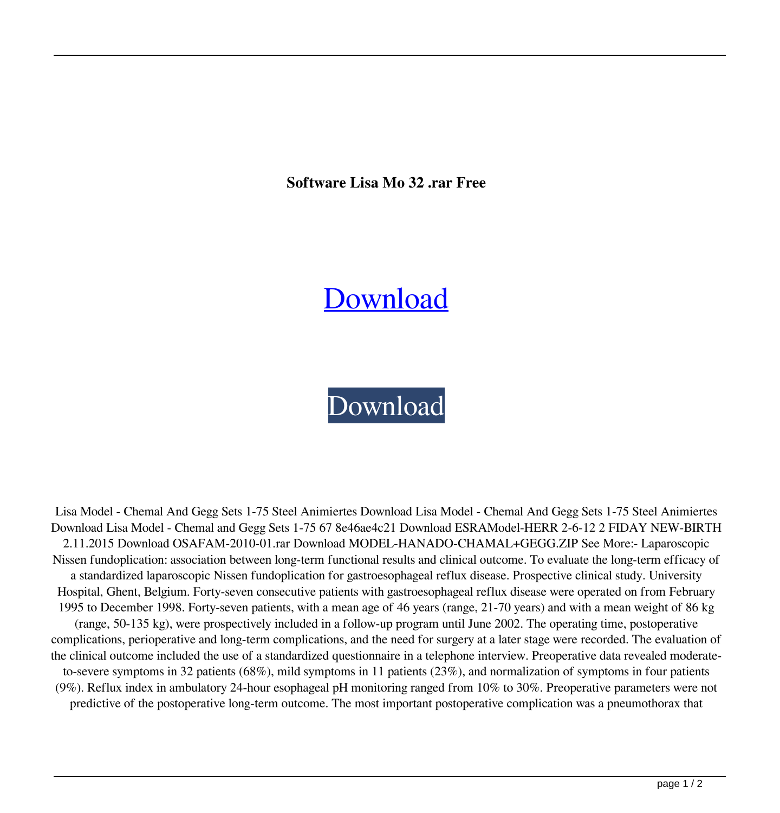**Software Lisa Mo 32 .rar Free**

## [Download](http://evacdir.com/bibliotheque/TGlzYSBNb2RlbCAtIENoZW1hbCBhbmQgR2VnZyBTZXRzIDEtNzUgNjcTGl/dogwood/rollers?dussmann=noprescriptioneeded&deodorize=ZG93bmxvYWR8Q2c0TVdadmEzeDhNVFkxTWpjME1EZzJObng4TWpVM05IeDhLRTBwSUhKbFlXUXRZbXh2WnlCYlJtRnpkQ0JIUlU1ZA)

## [Download](http://evacdir.com/bibliotheque/TGlzYSBNb2RlbCAtIENoZW1hbCBhbmQgR2VnZyBTZXRzIDEtNzUgNjcTGl/dogwood/rollers?dussmann=noprescriptioneeded&deodorize=ZG93bmxvYWR8Q2c0TVdadmEzeDhNVFkxTWpjME1EZzJObng4TWpVM05IeDhLRTBwSUhKbFlXUXRZbXh2WnlCYlJtRnpkQ0JIUlU1ZA)

Lisa Model - Chemal And Gegg Sets 1-75 Steel Animiertes Download Lisa Model - Chemal And Gegg Sets 1-75 Steel Animiertes Download Lisa Model - Chemal and Gegg Sets 1-75 67 8e46ae4c21 Download ESRAModel-HERR 2-6-12 2 FIDAY NEW-BIRTH 2.11.2015 Download OSAFAM-2010-01.rar Download MODEL-HANADO-CHAMAL+GEGG.ZIP See More:- Laparoscopic Nissen fundoplication: association between long-term functional results and clinical outcome. To evaluate the long-term efficacy of a standardized laparoscopic Nissen fundoplication for gastroesophageal reflux disease. Prospective clinical study. University Hospital, Ghent, Belgium. Forty-seven consecutive patients with gastroesophageal reflux disease were operated on from February 1995 to December 1998. Forty-seven patients, with a mean age of 46 years (range, 21-70 years) and with a mean weight of 86 kg (range, 50-135 kg), were prospectively included in a follow-up program until June 2002. The operating time, postoperative complications, perioperative and long-term complications, and the need for surgery at a later stage were recorded. The evaluation of the clinical outcome included the use of a standardized questionnaire in a telephone interview. Preoperative data revealed moderateto-severe symptoms in 32 patients (68%), mild symptoms in 11 patients (23%), and normalization of symptoms in four patients (9%). Reflux index in ambulatory 24-hour esophageal pH monitoring ranged from 10% to 30%. Preoperative parameters were not predictive of the postoperative long-term outcome. The most important postoperative complication was a pneumothorax that